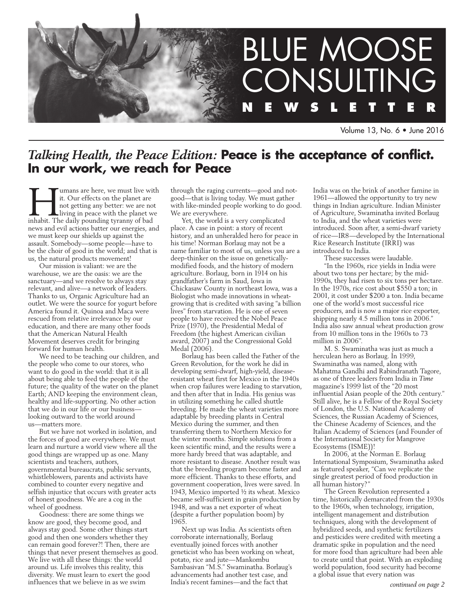

Volume 13, No. 6 • June 2016

## *Talking Health, the Peace Edition:* **Peace is the acceptance of conflict. In our work, we reach for Peace**

If the U mans are here, we must live with<br>
it. Our effects on the planet are<br>
not getting any better: we are not<br>
living in peace with the planet we<br>
inhabit. The daily pounding tyranny of bad it. Our effects on the planet are not getting any better: we are not living in peace with the planet we news and evil actions batter our energies, and we must keep our shields up against the assault. Somebody—some people—have to be the choir of good in the world; and that is us, the natural products movement!

Our mission is valiant: we are the warehouse, we are the oasis: we are the sanctuary—and we resolve to always stay relevant, and alive—a network of leaders. Thanks to us, Organic Agriculture had an outlet. We were the source for yogurt before America found it. Quinoa and Maca were rescued from relative irrelevance by our education, and there are many other foods that the American Natural Health Movement deserves credit for bringing forward for human health.

We need to be teaching our children, and the people who come to our stores, who want to do good in the world: that it is all about being able to feed the people of the future; the quality of the water on the planet Earth; AND keeping the environment clean, healthy and life-supporting. No other action that we do in our life or our business looking outward to the world around us—matters more.

But we have not worked in isolation, and the forces of good are everywhere. We must learn and nurture a world view where all the good things are wrapped up as one. Many scientists and teachers, authors, governmental bureaucrats, public servants, whistleblowers, parents and activists have combined to counter every negative and selfish injustice that occurs with greater acts of honest goodness. We are a cog in the wheel of goodness.

Goodness: there are some things we know are good, they become good, and always stay good. Some other things start good and then one wonders whether they can remain good forever?! Then, there are things that never present themselves as good. We live with all these things: the world around us. Life involves this reality, this diversity. We must learn to exert the good influences that we believe in as we swim

through the raging currents—good and notgood—that is living today. We must gather with like-minded people working to do good. We are everywhere.

Yet, the world is a very complicated place. A case in point: a story of recent history, and an unheralded hero for peace in his time! Norman Borlaug may not be a name familiar to most of us, unless you are a deep-thinker on the issue on geneticallymodified foods, and the history of modern agriculture. Borlaug, born in 1914 on his grandfather's farm in Saud, Iowa in Chickasaw County in northeast Iowa, was a Biologist who made innovations in wheatgrowing that is credited with saving "a billion lives" from starvation. He is one of seven people to have received the Nobel Peace Prize (1970), the Presidential Medal of Freedom (the highest American civilian award, 2007) and the Congressional Gold Medal (2006).

Borlaug has been called the Father of the Green Revolution, for the work he did in developing semi-dwarf, high-yield, diseaseresistant wheat first for Mexico in the 1940s when crop failures were leading to starvation, and then after that in India. His genius was in utilizing something he called shuttle breeding. He made the wheat varieties more adaptable by breeding plants in Central Mexico during the summer, and then transferring them to Northern Mexico for the winter months. Simple solutions from a keen scientific mind, and the results were a more hardy breed that was adaptable, and more resistant to disease. Another result was that the breeding program become faster and more efficient. Thanks to these efforts, and government cooperation, lives were saved. In 1943, Mexico imported ½ its wheat. Mexico became self-sufficient in grain production by 1948, and was a net exporter of wheat (despite a further population boom) by 1965.

Next up was India. As scientists often corroborate internationally, Borlaug eventually joined forces with another geneticist who has been working on wheat, potato, rice and jute—Mankombu Sambasivan "M.S." Swaminatha. Borlaug's advancements had another test case, and India's recent famines—and the fact that

India was on the brink of another famine in 1961—allowed the opportunity to try new things in Indian agriculture. Indian Minister of Agriculture, Swaminatha invited Borlaug to India, and the wheat varieties were introduced. Soon after, a semi-dwarf variety of rice—IR8—developed by the International Rice Research Institute (IRRI) was introduced to India.

These successes were laudable.

"In the 1960s, rice yields in India were about two tons per hectare; by the mid-1990s, they had risen to six tons per hectare. In the 1970s, rice cost about \$550 a ton; in 2001, it cost under \$200 a ton. India became one of the world's most successful rice producers, and is now a major rice exporter, shipping nearly 4.5 million tons in 2006." India also saw annual wheat production grow from 10 million tons in the 1960s to 73 million in 2006".

M. S. Swaminatha was just as much a herculean hero as Borlaug. In 1999, Swaminatha was named, along with Mahatma Gandhi and Rabindranath Tagore, as one of three leaders from India in *Time*  magazine's 1999 list of the "20 most influential Asian people of the 20th century." Still alive, he is a Fellow of the Royal Society of London, the U.S. National Academy of Sciences, the Russian Academy of Sciences, the Chinese Academy of Sciences, and the Italian Academy of Sciences (and Founder of the International Society for Mangrove Ecosystems (ISME))!

In 2006, at the Norman E. Borlaug International Symposium, Swaminatha asked as featured speaker, "Can we replicate the single greatest period of food production in all human history?"

The Green Revolution represented a time, historically demarcated from the 1930s to the 1960s, when technology, irrigation, intelligent management and distribution techniques, along with the development of hybridized seeds, and synthetic fertilizers and pesticides were credited with meeting a dramatic spike in population and the need for more food than agriculture had been able to create until that point. With an exploding world population, food security had become a global issue that every nation was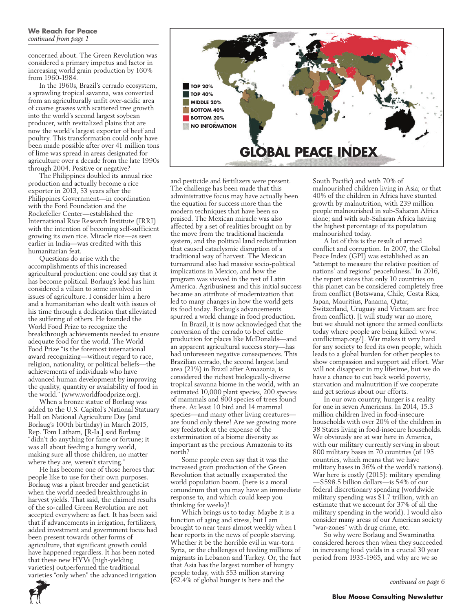concerned about. The Green Revolution was considered a primary impetus and factor in increasing world grain production by 160% from 1960-1984.

In the 1960s, Brazil's cerrado ecosystem, a sprawling tropical savanna, was converted from an agriculturally unfit over-acidic area of coarse grasses with scattered tree growth into the world's second largest soybean producer, with revitalized plains that are now the world's largest exporter of beef and poultry. This transformation could only have been made possible after over 41 million tons of lime was spread in areas designated for agriculture over a decade from the late 1990s through 2004. Positive or negative?

The Philippines doubled its annual rice production and actually become a rice exporter in 2013, 53 years after the Philippines Government—in coordination with the Ford Foundation and the Rockefeller Center—established the International Rice Research Institute (IRRI) with the intention of becoming self-sufficient growing its own rice. Miracle rice—as seen earlier in India—was credited with this humanitarian feat.

Questions do arise with the accomplishments of this increased agricultural production: one could say that it has become political. Borlaug's lead has him considered a villain to some involved in issues of agriculture. I consider him a hero and a humanitarian who dealt with issues of his time through a dedication that alleviated the suffering of others. He founded the World Food Prize to recognize the breakthrough achievements needed to ensure adequate food for the world. The World Food Prize "is the foremost international award recognizing—without regard to race, religion, nationality, or political beliefs—the achievements of individuals who have advanced human development by improving the quality, quantity or availability of food in the world." (www.worldfoodprize.org).

When a bronze statue of Borlaug was added to the U.S. Capitol's National Statuary Hall on National Agriculture Day (and Borlaug's 100th birthday) in March 2015, Rep. Tom Latham, [R-Ia.] said Borlaug "didn't do anything for fame or fortune; it was all about feeding a hungry world, making sure all those children, no matter where they are, weren't starving."

He has become one of those heroes that people like to use for their own purposes. Borlaug was a plant breeder and geneticist when the world needed breakthroughs in harvest yields. That said, the claimed results of the so-called Green Revolution are not accepted everywhere as fact. It has been said that if advancements in irrigation, fertilizers, added investment and government focus had been present towards other forms of agriculture, that significant growth could have happened regardless. It has been noted that these new HYVs (high-yielding varieties) outperformed the traditional varieties "only when" the advanced irrigation



and pesticide and fertilizers were present. The challenge has been made that this administrative focus may have actually been the equation for success more than the modern techniques that have been so praised. The Mexican miracle was also affected by a set of realities brought on by the move from the traditional hacienda system, and the political land redistribution that caused cataclysmic disruption of a traditional way of harvest. The Mexican turnaround also had massive socio-political implications in Mexico, and how the program was viewed in the rest of Latin America. Agribusiness and this initial success became an attribute of modernization that led to many changes in how the world gets its food today. Borlaug's advancements spurred a world change in food production.

In Brazil, it is now acknowledged that the conversion of the cerrado to beef cattle production for places like McDonalds—and an apparent agricultural success story—has had unforeseen negative consequences. This Brazilian cerrado, the second largest land area (21%) in Brazil after Amazonia, is considered the richest biologically-diverse tropical savanna biome in the world, with an estimated 10,000 plant species, 200 species of mammals and 800 species of trees found there. At least 10 bird and 14 mammal species—and many other living creatures are found only there! Are we growing more soy feedstock at the expense of the extermination of a biome diversity as important as the precious Amazonia to its north?

Some people even say that it was the increased grain production of the Green Revolution that actually exasperated the world population boom. (here is a moral conundrum that you may have an immediate response to, and which could keep you thinking for weeks)!

Which brings us to today. Maybe it is a function of aging and stress, but I am brought to near tears almost weekly when I hear reports in the news of people starving. Whether it be the horrible evil in war-torn Syria, or the challenges of feeding millions of migrants in Lebanon and Turkey. Or, the fact that Asia has the largest number of hungry people today, with 553 million starving (62.4% of global hunger is here and the

South Pacific) and with 70% of malnourished children living in Asia; or that 40% of the children in Africa have stunted growth by malnutrition, with 239 million people malnourished in sub-Saharan Africa alone; and with sub-Saharan Africa having the highest percentage of its population malnourished today.

A lot of this is the result of armed conflict and corruption. In 2007, the Global Peace Index (GPI) was established as an "attempt to measure the relative position of nations' and regions' peacefulness." In 2016, the report states that only 10 countries on this planet can be considered completely free from conflict (Botswana, Chile, Costa Rica, Japan, Mauritius, Panama, Qatar, Switzerland, Uruguay and Vietnam are free from conflict). [I will study war no more, but we should not ignore the armed conflicts today where people are being killed: www. conflictmap.org/]. War makes it very hard for any society to feed its own people, which leads to a global burden for other peoples to show compassion and support aid effort. War will not disappear in my lifetime, but we do have a chance to cut back world poverty, starvation and malnutrition if we cooperate and get serious about our efforts.

In our own country, hunger is a reality for one in seven Americans. In 2014, 15.3 million children lived in food-insecure households with over 20% of the children in 38 States living in food-insecure households. We obviously are at war here in America, with our military currently serving in about 800 military bases in 70 countries (of 195 countries, which means that we have military bases in 36% of the world's nations). War here is costly (2015): military spending —\$598.5 billion dollars—is 54% of our federal discretionary spending (worldwide military spending was \$1.7 trillion, with an estimate that we account for 37% of all the military spending in the world). I would also consider many areas of our American society "war-zones" with drug crime, etc.

So why were Borlaug and Swaminatha considered heroes then when they succeeded in increasing food yields in a crucial 30 year period from 1935-1965, and why are we so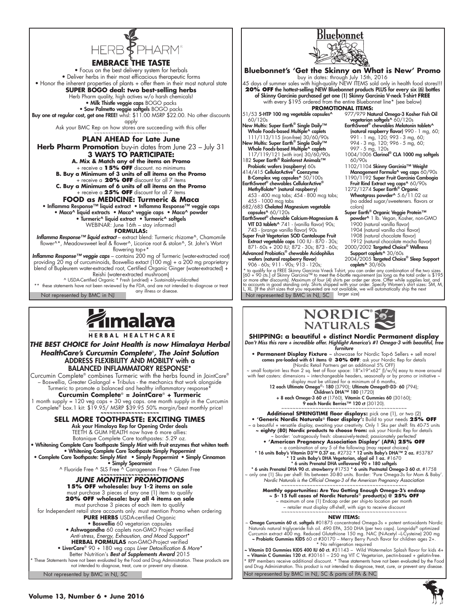

**Embrace the taste** • Focus on the best delivery system for herbals • Deliver herbs in their most efficacious therapeutic forms • Honor the inherent properties of plants + offer them in their most natural state **SUPER BOGO deal: two best-selling herbs** Herb Pharm quality, high actives w/o harsh chemicals! • Milk Thistle veggie caps BOGO packs • Saw Palmetto veggie softgels BOGO packs Buy one at regular cost, get one FREE! whsl: \$11.00 MSRP \$22.00. No other discounts apply Ask your BMC Rep on how stores are succeeding with this offer

**PLAN AHEAD for Late June Herb Pharm Promotion** buy-in dates from June 23 - July 31 **3 Ways to Participate:**

**A. Mix & Match any of the items on Promo**  + receive a **15% OFF** discount. no minimums **B. Buy a Minimum of 3 units of all items on the Promo** + receive a **20% OFF** discount for all 7 items **C. Buy a Minimum of 6 units of all items on the Promo** + receive a **25% OFF** discount for all 7 items

**FOOD as MEDICINE: Turmeric & Maca** • Inflamma Response™ liquid extract • Inflamma Response™ veggie caps • Maca^ liquid extracts • Maca^ veggie caps • Maca^ powder • Turmeric^ liquid extract • Turmeric^ softgels WEBINAR: June 16th – stay informed!

**FORMULAS:**

*Inflamma Response™ liquid extract* – extract blend: Turmeric rhizome^, Chamomile flower^\*, Meadowsweet leaf & flower^, Licorice root & stolon^, St. John's Wort flowering top+\*

*Inflamma Response™ veggie caps* – contains 200 mg of Turmeric (water-extracted root) providing 20 mg of curcuminoids, Boswellia extact (100 mg) + a 200 mg proprietary blend of Bupleurem water-extracted root, Certified Organic Ginger (water-extracted) + Reishi (water-extracted mushroom) ^ USDA-Certified Organic \* Fresh (undried) + Sustainably-wildcrafted

\*\* these statements have not been reviewed by the FDA, and are not intended to diagnose or treat Not represented by BMC in NJ any illness or disease.



HERBAL HEALTHCARE

*THE BEST CHOICE for Joint Health is now Himalaya Herbal HealthCare's Curcumin Complete*®*, The Joint Solution* ADDRESS FLEXIBILITY AND MOBILTY with a BALANCED INFLAMMATORY RESPONSE\*

Curcumin Complete® combines Turmeric with the herbs found in JointCare® – Boswellia, Greater Galangal + Tribulus - the mechanics that work alongside Turmeric to promote a balanced and healthy inflammatory response\*

**Curcumin Complete**® **= JointCare**® **+ Turmeric** 1 month supply = 120 veg caps + 30 veg caps. one month supply in the Curcumin Complete<sup>®</sup> box.1 kit: \$19.95/ MSRP \$39.95 50% margin/best monthly price!



TEETH & GUM HEALTH now have 6 more allies: Botanique Complete Care toothpastes: 5.29 oz. • Whitening Complete Care Toothpaste Simply Mint with fruit enzymes that whiten teeth • Whitening Complete Care Toothpaste Simply Peppermint • Complete Care Toothpaste: Simply Mint • Simply Peppermint • Simply Cinnamon

• Simply Spearmint ^ Fluoride Free ^ SLS Free ^ Carrageenan Free ^ Gluten Free *~~~~~~~~~~~~~~~~~~~*

*JUNE MONTHLY PROMOTIONS*

**15% OFF wholesale: buy 1-2 items on sale** 

must purchase 3 pieces of any one (1) item to qualify **20% OFF wholesale: buy all 4 items on sale**

must purchase 3 pieces of each item to qualify for Independent retail store accounts only. must mention Promo when ordering **PURE HERBS** USDA-certified Organic

• Boswellia 60 vegetarian capsules

• Ashwagandha 60 caplets non-GMO Project verified

*Anti-stress, Energy, Exhaustion, and Mood Support\** **HERBAL FORMULAS** non-GMO-Project verified

• LiverCare® 90 + 180 veg caps *Liver Detoxification & More\** Better Nutrition's *Best of Supplements Award* 2015

\* These Statements have not been evaluated by the Food and Drug Administration. These products are not intended to diagnose, treat, cure or prevent any disease.

Not represented by BMC in NJ, SC





**SHIPPING: a beautiful + distinct Nordic Permanent display** *Don't Miss this rare + incredible offer. Highlight America's #1 Omega-3 with beautiful, free furniture*

**• Permanent Display Fixture** ~ showcase for Nordic Top-6 Sellers + sell more!<br>comes pre-loaded with 61 items @ **30% OFF**: ask your Nordic Rep for details<br>{Nordic Retail Partners get an additional 5% OFF}

 $\sim$  small footprint less than 2 sq. feet of floor space: 18"x19"x62" (I/w/h) easy to move around<br>with feet casters: dimensions  $\sim$  interchangeable headers, seasonally or by promo or initiative  $\sim$ <br>display must be utili

12 each Ultimate Omega®- 180 (3790); Ultimate Omega®-D3- 60 (794); Children's DHA™ 180 (1720) + 8 each Omega-3 60 ct (1760), Vitamin C Gummies 60 (30160);

9 each Nordic Berries™ 120 ct (30120).

**Additional SPRINGTIME floor displays:** pick one (1), or two (2) **• 'Generic Nordic Naturals**® **floor display':** Build to your needs **25% OFF**

~ a beautiful + versatile display, awaiting your creativity. Only 1 Sku per shelf: fits 40-75 units **~ eighty (80) Nordic products to choose from:** ask your Nordic Rep for details border: 'outrageously fresh: obsessively-tested; passionately perfe

**• 'American Pregnancy Association Display' (APA) 25% OFF**

α combination of any 5 of the following (may repeat choices)<br>• 16 units Baby's Vitamin D3™ 0.37 oz. #2732 • 12 units Baby's DHA™ 2 oz. #53787<br>• 12 units Baby's DHA Vegetarian, algal oil 1 oz. #1670<br>• 6 units Prenatal DHA

 $*$  6 units Prenatal DHA 90 ct. strawberry  $\#1753 *$  6 units Postnatal Omega-3 60 ct.  $\#1758$ only one (1) Sku per shelf: fits between 30-80 units. Border: 'Pure Omega-3s for Mom & Baby' *Nordic Naturals is the Official Omega-3 of the American Pregnancy Association* 

Monthly opportunities: Are You Getting Enough Omega-3's endcap<br>Dis full cases of Nordic Naturals® product(s) @ 25% OFF<br>monthine maximum of one (1) Endcap order per ship-to location per month

~ retailer must display off-shelf, with sign to receive discount

~~~~~~~~~~~~~~~~~~~~~~~~~~~~~~~~~~~~~~~~~~~~

**NEW ITEMS:**

~ Omega Curcumin 60 ct. softgels #01875 concentrated Omega-3s + potent antioxidants Nordic Naturals natural triglyceride fish oil. 490 EPA, 350 DHA (per two caps). Longvida® optimized<br>Curcumin extract 400 mg. Reduced Glutathione 150 mg. NAC (N-Acetyl -L-Cysteine) 200 mg<br>A **Probiotic Gummies KIDS** 60 ct #30170 –

Not represented by BMC in NJ, SC & parts of PA & NC \* No refrigeration required<br>~ **Vitamin D3 Gummies KIDS 400 IU 60 ct.** #31143 – Wild Watermelon Splash flavor for kids 4+<br>**~ Vitamin C Gummies 120 ct. #**30161 – 250 mg VIT C Vegetarian, pectin-based + gelatin-free. RPP members receive additional discount. \* These statements have not been evaluated by the Food and Drug Administration. This product is not intended to diagnose, treat, cure, or prevent any disease.

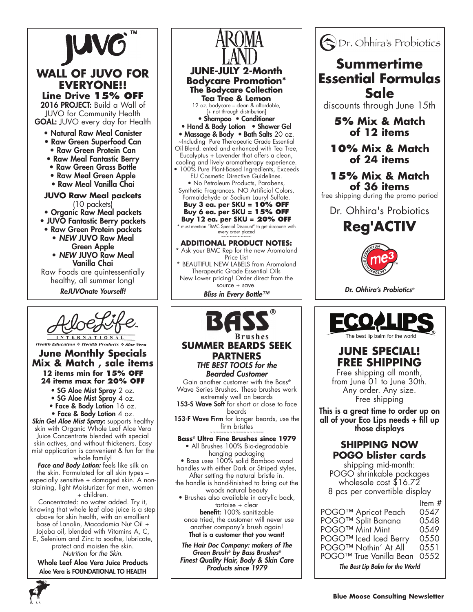



#### **Health Education & Health Products & Aloe Vera June Monthly Specials Mix & Match , sale items 12 items min for 15% off 24 items max for 20% off**

- SG Aloe Mist Spray 2 oz.
- SG Aloe Mist Spray 4 oz.
- Face & Body Lotion 16 oz.

• Face & Body Lotion 4 oz. *Skin Gel Aloe Mist Spray:* supports healthy skin with Organic Whole Leaf Aloe Vera Juice Concentrate blended with special skin actives, and without thickeners. Easy mist application is convenient & fun for the

whole family! *Face and Body Lotion:* feels like silk on the skin. Formulated for all skin types – especially sensitive + damaged skin. A nonstaining, light Moisturizer for men, women + children.

Concentrated: no water added. Try it, knowing that whole leaf aloe juice is a step above for skin health, with an emollient base of Lanolin, Macadamia Nut Oil + Jojoba oil, blended with Vitamins A, C, E, Selenium and Zinc to soothe, lubricate, protect and moisten the skin.

*Nutrition for the Skin.* Whole Leaf Aloe Vera Juice Products

Aloe Vera is FOUNDATIONAL TO HEALTH



# **SUMMER BEARDS SEEK**

### **PARTNERS** *THE BEST TOOLS for the Bearded Customer*

Gain another customer with the Bass*®* Wave Series Brushes. These brushes work extremely well on beards

153-S Wave Soft for short or close to face beards

153-F Wave Firm for longer beards, use the firm bristles

**Bass***®* **Ultra Fine Brushes since 1979** • All Brushes 100% Bio-degradable

hanging packaging • Bass uses 100% solid Bamboo wood

handles with either Dark or Striped styles, After setting the natural bristle in.

the handle is hand-finished to bring out the woods natural beauty

• Brushes also available in acrylic back, tortoise + clear benefit: 100% sanitizable

 once tried, the customer will never use another company's brush again! That is a customer that you want!

*The Hair Doc Company: makers of The Green Brush® by Bass Brushes® Finest Quality Hair, Body & Skin Care Products since 1979*



## **Summertime Essential Formulas Sale**

discounts through June 15th

**5% Mix & Match of 12 items**

**10% Mix & Match of 24 items**

**15% Mix & Match of 36 items**

free shipping during the promo period

Dr. Ohhira's Probiotics

**Reg'ACTIV**



*Dr. Ohhira's Probiotics®*



## **JUNE SPECIAL! FREE SHIPPING**

Free shipping all month, from June 01 to June 30th. Any order. Any size. Free shipping

This is a great time to order up on all of your Eco Lips needs + fill up those displays

## **SHIPPING NOW POGO blister cards**

shipping mid-month: POGO shrinkable packages wholesale cost \$16.72 8 pcs per convertible display

Item # POGO™ Apricot Peach 0547 POGO™ Split Banana 0548 POGO™ Mint Mint 0549 POGO™ Iced Iced Berry 0550<br>POGO™ Nothin' At All 0551 POGO<sup>™</sup> Nothin' At All POGO™ True Vanilla Bean 0552 *The Best Lip Balm for the World*

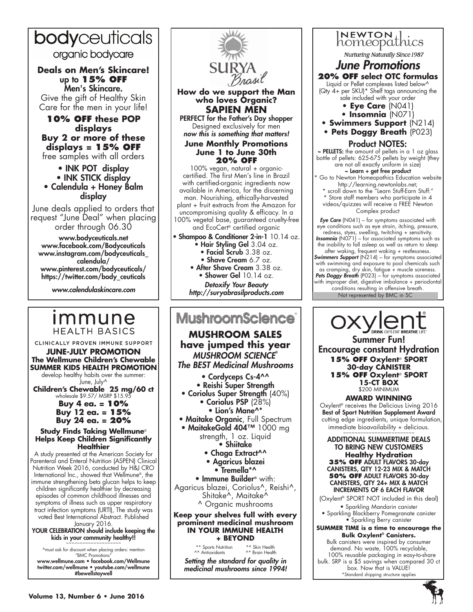## bodyceuticals

organic bodycare

**Deals on Men's Skincare!** up to **15% OFF** Men's Skincare. Give the gift of Healthy Skin Care for the men in your life!

**10% OFF these POP displays Buy 2 or more of these displays = 15% OFF** free samples with all orders

> • INK POT display • INK STICK display

• Calendula + Honey Balm display

June deals applied to orders that request "June Deal" when placing order through 06.30

www.bodyceuticals.net www.facebook.com/Bodyceuticals www.instagram.com/bodyceuticals\_ calendula/ www.pinterest.com/bodyceuticals/ https://twitter.com/body\_ceuticals

*www.calendulaskincare.com*

## *Immune* **HEALTH BASICS**

CLINICALLY PROVEN IMMUNE SUPPORT **June-July Promotion The Wellmune Children's Chewable**

**SUMMER KIDS HEALTH PROMOTION** develop healthy habits over the summer: June, July^ **Children's Chewable 25 mg/60 ct** wholesale \$9.57/ MSRP \$15.95

**Buy 4 ea. = 10% Buy 12 ea. = 15% Buy 24 ea. = 20%** 

**Study Finds Taking Wellmune**® **Helps Keep Children Significantly Healthier**

A study presented at the American Society for Parenteral and Enteral Nutrition (ASPEN) Clinical Nutrition Week 2016, conducted by H&J CRO International Inc., showed that Wellmune®, the immune strengthening beta glucan helps to keep children significantly healthier by decreasing episodes of common childhood illnesses and symptoms of illness such as upper respiratory tract infection symptoms (URTI), The study was voted Best International Abstract. Published January 2016.

YOUR CELEBRATION should include keeping the kids in your community healthy!!

^must ask for discount when placing orders: mention "BMC Promotions"

www.wellmune.com • facebook.com/Wellmune twitter.com/wellmune • youtube.com/wellmune #bewellstaywell



**How do we support the Man who loves Organic? SAPIEN MEN** 

PERFECT for the Father's Day shopper Designed exclusively for men *now this is something that matters!* 

**June Monthly Promotions June 1 to June 30th 20% OFF** 

100% vegan, natural + organiccertified. The first Men's line in Brazil with certified-organic ingredients now available in America, for the discerning man. Nourishing, ethically-harvested plant + fruit extracts from the Amazon for uncompromising quality & efficacy. In a 100% vegetal base, guaranteed cruelty-free and EcoCert® certified organic

Shampoo & Conditioner 2-in-1 10.14 oz. • Hair Styling Gel 3.04 oz.

- Facial Scrub 3.38 oz.
- Shave Cream 6.7 oz. • After Shave Cream 3.38 oz. • Shower Gel 10.14 oz. *Detoxify Your Beauty*

## **MushroomScience**

**MUSHROOM SALES have jumped this year** *MUSHROOM SCIENCE***®** *The BEST Medicinal Mushrooms* • Cordyceps Cs-4^^ • Reishi Super Strength • Coriolus Super Strength (40%) • Coriolus PSP (28%) • Lion's Mane^\* **• Maitake Organic, Full Spectrum** • MaitakeGold 404™ 1000 mg strength, 1 oz. Liquid • Shiitake • Chaga Extract<sup>^^</sup> • Agaricus blazei • Tremella\*^ • Immune Builder**®** with: Agaricus blazei, Coriolus^, Reishi^, Shitake^, Maitake^ ^ Organic mushrooms

**Keep your shelves full with every prominent medicinal mushroom in your Immune Health + beyond**

> \*\* Sports Nutrition \*^ Skin Health<br>^^ Antioxidants \*\* Brain Health  $^{\wedge *}$  Brain Health

*Setting the standard for quality in medicinal mushrooms since 1994!*



the inability to fall asleep as well as return to sleep after waking, frequent waking + restlessness. *Swimmers Support* (N214) – for symptoms associated with swimming and exposure to pool chemicals such as cramping, dry skin, fatigue + muscle soreness. *Pets Doggy Breath* (P023) – for symptoms associated with improper diet, digestive imbalance + periodontal conditions resulting in offensive breath. **http://suryabrasilproducts.com** 

> Summer Fun! Encourage constant Hydration **15% OFF Oxylent**® **SPORT 30-day CANISTER 15% OFF Oxylent**® **SPORT 15-CT BOX** \$200 MINIMUM

**AWARD WINNING** Oxylent® receives the Delicious Living 2016 Best of Sport Nutrition Supplement Award cutting edge ingredients, unique formulation,  $immediate~bioavailability +~delicious.$ 

ADDITIONAL SUMMERTIME DEALS TO BRING NEW CUSTOMERS **Healthy Hydration 35% OFF** ADULT FLAVORS 30-day CANISTERS, QTY 12-23 MIX & MATCH **50% OFF** ADULT FLAVORS 30-day CANISTERS, QTY 24+ MIX & MATCH INCREMENTS OF 6 EACH FLAVOR

(Oxylent® SPORT NOT included in this deal) • Sparkling Mandarin canister

• Sparkling Blackberry Pomegranate canister • Sparkling Berry canister

**SUMMER TIME is a time to encourage the Bulk Oxylent® Canisters.**

Bulk canisters were inspired by consumer demand. No waste, 100% recyclable, 100% reusable packaging in easy-to-share bulk. SRP is a \$5 savings when compared 30 ct box. Now that is VALUE! \*Standard shipping structure applies

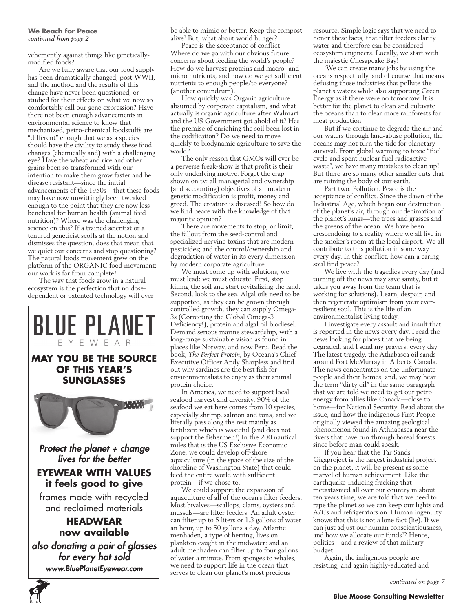vehemently against things like geneticallymodified foods?

Are we fully aware that our food supply has been dramatically changed, post-WWII, and the method and the results of this change have never been questioned, or studied for their effects on what we now so comfortably call our gene expression? Have there not been enough advancements in environmental science to know that mechanized, petro-chemical foodstuffs are "different" enough that we as a species should have the civility to study these food changes (chemically and) with a challenging eye? Have the wheat and rice and other grains been so transformed with our intention to make them grow faster and be disease resistant—since the initial advancements of the 1950s—that these foods may have now unwittingly been tweaked enough to the point that they are now less beneficial for human health (animal feed nutrition)? Where was the challenging science on this? If a trained scientist or a tenured geneticist scoffs at the notion and dismisses the question, does that mean that we quiet our concerns and stop questioning? The natural foods movement grew on the platform of the ORGANIC food movement: our work is far from complete!

The way that foods grow in a natural ecosystem is the perfection that no dosedependent or patented technology will ever



**6**

be able to mimic or better. Keep the compost alive! But, what about world hunger?

Peace is the acceptance of conflict. Where do we go with our obvious future concerns about feeding the world's people? How do we harvest proteins and macro- and micro nutrients, and how do we get sufficient nutrients to enough people/to everyone? (another conundrum).

How quickly was Organic agriculture absumed by corporate capitalism, and what actually is organic agriculture after Walmart and the US Government got ahold of it? Has the premise of enriching the soil been lost in the codification? Do we need to move quickly to biodynamic agriculture to save the world?

The only reason that GMOs will ever be a perverse freak-show is that profit is their only underlying motive. Forget the crap shown on tv: all managerial and ownership (and accounting) objectives of all modern genetic modification is profit, money and greed. The creature is diseased! So how do we find peace with the knowledge of that majority opinion?

There are movements to stop, or limit, the fallout from the seed-control and specialized nervine toxins that are modern pesticides; and the control/ownership and degradation of water in its every dimension by modern corporate agriculture.

We must come up with solutions, we must lead: we must educate. First, stop killing the soil and start revitalizing the land. Second, look to the sea. Algal oils need to be supported, as they can be grown through controlled growth, they can supply Omega-3s (Correcting the Global Omega-3 Deficiency!), protein and algal oil biodiesel. Demand serious marine stewardship, with a long-range sustainable vision as found in places like Norway, and now Peru. Read the book, *The Perfect Protein*, by Oceana's Chief Executive Officer Andy Sharpless and find out why sardines are the best fish for environmentalists to enjoy as their animal protein choice.

In America, we need to support local seafood harvest and diversity. 90% of the seafood we eat here comes from 10 species, especially shrimp, salmon and tuna, and we literally pass along the rest mainly as fertilizer: which is wasteful (and does not support the fishermen!) In the 200 nautical miles that is the US Exclusive Economic Zone, we could develop off-shore aquaculture (in the space of the size of the shoreline of Washington State) that could feed the entire world with sufficient protein—if we chose to.

We could support the expansion of aquaculture of all of the ocean's filter feeders. Most bivalves—scallops, clams, oysters and mussels—are filter feeders. An adult oyster can filter up to 5 liters or 1.3 gallons of water an hour, up to 50 gallons a day. Atlantic menhaden, a type of herring, lives on plankton caught in the midwater: and an adult menhaden can filter up to four gallons of water a minute. From sponges to whales, we need to support life in the ocean that serves to clean our planet's most precious

resource. Simple logic says that we need to honor these facts, that filter feeders clarify water and therefore can be considered ecosystem engineers. Locally, we start with the majestic Chesapeake Bay!

`We can create many jobs by using the oceans respectfully, and of course that means defusing those industries that pollute the planet's waters while also supporting Green Energy as if there were no tomorrow. It is better for the planet to clean and cultivate the oceans than to clear more rainforests for meat production.

But if we continue to degrade the air and our waters through land-abuse pollution, the oceans may not turn the tide for planetary survival. From global warming to toxic "fuel cycle and spent nuclear fuel radioactive waste", we have many mistakes to clean up! But there are so many other smaller cuts that are ruining the body of our earth.

Part two. Pollution. Peace is the acceptance of conflict. Since the dawn of the Industrial Age, which began our destruction of the planet's air, through our decimation of the planet's lungs—the trees and grasses and the greens of the ocean. We have been crescendoing to a reality where we all live in the smoker's room at the local airport. We all contribute to this pollution in some way every day. In this conflict, how can a caring soul find peace?

We live with the tragedies every day (and turning off the news may save sanity, but it takes you away from the team that is working for solutions). Learn, despair, and then regenerate optimism from your everresilient soul. This is the life of an environmentalist living today.

I investigate every assault and insult that is reported in the news every day. I read the news looking for places that are being degraded, and I send my prayers: every day. The latest tragedy, the Athabasca oil sands around Fort McMurray in Alberta Canada. The news concentrates on the unfortunate people and their homes; and, we may hear the term "dirty oil" in the same paragraph that we are told we need to get our petro energy from allies like Canada—close to home—for National Security. Read about the issue, and how the indigenous First People originally viewed the amazing geological phenomenon found in Athhabasca near the rivers that have run through boreal forests since before man could speak.

If you hear that the Tar Sands Gigaproject is the largest industrial project on the planet, it will be present as some marvel of human achievement. Like the earthquake-inducing fracking that metastasized all over our country in about ten years time, we are told that we need to rape the planet so we can keep our lights and A/Cs and refrigerators on. Human ingenuity knows that this is not a lone fact (lie). If we can just adjust our human conscientiousness, and how we allocate our funds!? Hence, politics—and a review of that military budget.

Again, the indigenous people are resisting, and again highly-educated and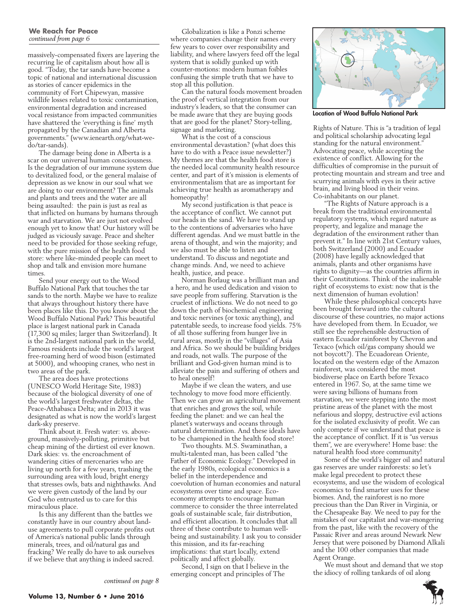#### **We Reach for Peace**  *continued from page 6*

massively-compensated fixers are layering the recurring lie of capitalism about how all is good. "Today, the tar sands have become a topic of national and international discussion as stories of cancer epidemics in the community of Fort Chipewyan, massive wildlife losses related to toxic contamination, environmental degradation and increased vocal resistance from impacted communities have shattered the 'everything is fine' myth propagated by the Canadian and Alberta governments." (www.ienearth.org/what-wedo/tar-sands).

The damage being done in Alberta is a scar on our universal human consciousness. Is the degradation of our immune system due to devitalized food, or the general malaise of depression as we know in our soul what we are doing to our environment? The animals and plants and trees and the water are all being assaulted: the pain is just as real as that inflicted on humans by humans through war and starvation. We are just not evolved enough yet to know that! Our history will be judged as viciously savage. Peace and shelter need to be provided for those seeking refuge, with the pure mission of the health food store: where like-minded people can meet to shop and talk and envision more humane times.

Send your energy out to the Wood Buffalo National Park that touches the tar sands to the north. Maybe we have to realize that always throughout history there have been places like this. Do you know about the Wood Buffalo National Park? This beautiful place is largest national park in Canada (17,300 sq miles; larger than Switzerland). It is the 2nd-largest national park in the world, Famous residents include the world's largest free-roaming herd of wood bison (estimated at 5000), and whooping cranes, who nest in two areas of the park.

The area does have protections (UNESCO World Heritage Site, 1983) because of the biological diversity of one of the world's largest freshwater deltas, the Peace-Athabasca Delta; and in 2013 it was designated as what is now the world's largest dark-sky preserve.

Think about it. Fresh water: vs. aboveground, massively-polluting, primitive but cheap mining of the dirtiest oil ever known. Dark skies: vs. the encroachment of wandering cities of mercenaries who are living up north for a few years, trashing the surrounding area with loud, bright energy that stresses owls, bats and nighthawks. And we were given custody of the land by our God who entrusted us to care for this miraculous place.

Is this any different than the battles we constantly have in our country about landuse agreements to pull corporate profits out of America's national public lands through minerals, trees, and oil/natural gas and fracking? We really do have to ask ourselves if we believe that anything is indeed sacred.

Globalization is like a Ponzi scheme where companies change their names every few years to cover over responsibility and liability, and where lawyers feed off the legal system that is solidly gunked up with counter-motions: modern human foibles confusing the simple truth that we have to stop all this pollution.

Can the natural foods movement broaden the proof of vertical integration from our industry's leaders, so that the consumer can be made aware that they are buying goods that are good for the planet? Story-telling, signage and marketing.

What is the cost of a conscious environmental devastation? (what does this have to do with a Peace issue newsletter?) My themes are that the health food store is the needed local community health resource center, and part of it's mission is elements of environmentalism that are as important for achieving true health as aromatherapy and homeopathy!

My second justification is that peace is the acceptance of conflict. We cannot put our heads in the sand. We have to stand up to the contentions of adversaries who have different agendas. And we must battle in the arena of thought, and win the majority; and we also must be able to listen and understand. To discuss and negotiate and change minds. And, we need to achieve health, justice, and peace.

Norman Borlaug was a brilliant man and a hero, and he used dedication and vision to save people from suffering. Starvation is the cruelest of inflictions. We do not need to go down the path of biochemical engineering and toxic nervines (or toxic anything), and patentable seeds, to increase food yields. 75% of all those suffering from hunger live in rural areas, mostly in the "villages" of Asia and Africa. So we should be building bridges and roads, not walls. The purpose of the brilliant and God-given human mind is to alleviate the pain and suffering of others and to heal oneself!

Maybe if we clean the waters, and use technology to move food more efficiently. Then we can grow an agricultural movement that enriches and grows the soil, while feeding the planet: and we can heal the planet's waterways and oceans through natural determination. And these ideals have to be championed in the health food store!

Two thoughts. M.S. Swaminathan, a multi-talented man, has been called "the Father of Economic Ecology." Developed in the early 1980s, ecological economics is a belief in the interdependence and coevolution of human economies and natural ecosystems over time and space. Ecoeconomy attempts to encourage human commerce to consider the three interrelated goals of sustainable scale, fair distribution, and efficient allocation. It concludes that all three of these contribute to human wellbeing and sustainability. I ask you to consider this mission, and its far-reaching implications: that start locally, extend politically and affect globally.

Second, I sign on that I believe in the emerging concept and principles of The



Location of Wood Buffalo National Park

Rights of Nature. This is "a tradition of legal and political scholarship advocating legal standing for the natural environment." Advocating peace, while accepting the existence of conflict. Allowing for the difficulties of compromise in the pursuit of protecting mountain and stream and tree and scurrying animals with eyes in their active brain, and living blood in their veins. Co-inhabitants on our planet.

"The Rights of Nature approach is a break from the traditional environmental regulatory systems, which regard nature as property, and legalize and manage the degradation of the environment rather than prevent it." In line with 21st Century values, both Switzerland (2000) and Ecuador (2008) have legally acknowledged that animals, plants and other organisms have rights to dignity—as the countries affirm in their Constitutions. Think of the inalienable right of ecosystems to exist: now that is the next dimension of human evolution!

While these philosophical concepts have been brought forward into the cultural discourse of these countries, no major actions have developed from them. In Ecuador, we still see the reprehensible destruction of eastern Ecuador rainforest by Chevron and Texaco (which oil/gas company should we not boycott?). The Ecuadorean Oriente, located on the western edge of the Amazon rainforest, was considered the most biodiverse place on Earth before Texaco entered in 1967. So, at the same time we were saving billions of humans from starvation, we were stepping into the most pristine areas of the planet with the most nefarious and sloppy, destructive evil actions for the isolated exclusivity of profit. We can only compete if we understand that peace is the acceptance of conflict. If it is "us versus them", we are everywhere! Home base: the natural health food store community!

Some of the world's bigger oil and natural gas reserves are under rainforests: so let's make legal precedent to protect these ecosystems, and use the wisdom of ecological economics to find smarter uses for these biomes. And, the rainforest is no more precious than the Dan River in Virginia, or the Chesapeake Bay. We need to pay for the mistakes of our capitalist and war-mongering from the past, like with the recovery of the Passaic River and areas around Newark New Jersey that were poisoned by Diamond Alkali and the 100 other companies that made Agent Orange.

We must shout and demand that we stop the idiocy of rolling tankards of oil along